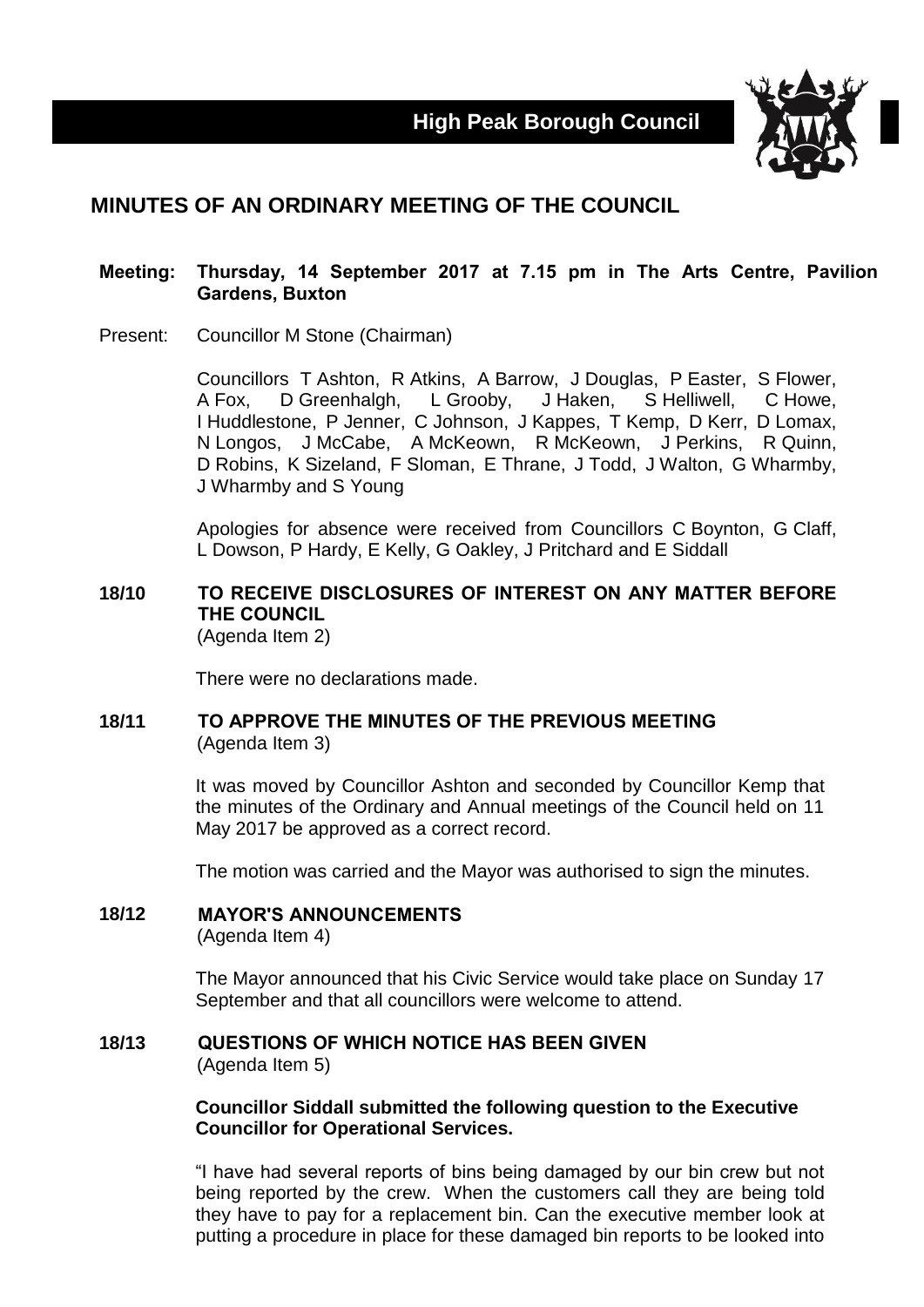

# **MINUTES OF AN ORDINARY MEETING OF THE COUNCIL**

#### **Meeting: Thursday, 14 September 2017 at 7.15 pm in The Arts Centre, Pavilion Gardens, Buxton**

Present: Councillor M Stone (Chairman)

Councillors T Ashton, R Atkins, A Barrow, J Douglas, P Easter, S Flower, A Fox, D Greenhalgh, L Grooby, J Haken, S Helliwell, C Howe, I Huddlestone, P Jenner, C Johnson, J Kappes, T Kemp, D Kerr, D Lomax, N Longos, J McCabe, A McKeown, R McKeown, J Perkins, R Quinn, D Robins, K Sizeland, F Sloman, E Thrane, J Todd, J Walton, G Wharmby, J Wharmby and S Young

Apologies for absence were received from Councillors C Boynton, G Claff, L Dowson, P Hardy, E Kelly, G Oakley, J Pritchard and E Siddall

#### **18/10 TO RECEIVE DISCLOSURES OF INTEREST ON ANY MATTER BEFORE THE COUNCIL** (Agenda Item 2)

There were no declarations made.

#### **18/11 TO APPROVE THE MINUTES OF THE PREVIOUS MEETING** (Agenda Item 3)

It was moved by Councillor Ashton and seconded by Councillor Kemp that the minutes of the Ordinary and Annual meetings of the Council held on 11 May 2017 be approved as a correct record.

The motion was carried and the Mayor was authorised to sign the minutes.

# **18/12 MAYOR'S ANNOUNCEMENTS**

(Agenda Item 4)

The Mayor announced that his Civic Service would take place on Sunday 17 September and that all councillors were welcome to attend.

# **18/13 QUESTIONS OF WHICH NOTICE HAS BEEN GIVEN**

(Agenda Item 5)

# **Councillor Siddall submitted the following question to the Executive Councillor for Operational Services.**

"I have had several reports of bins being damaged by our bin crew but not being reported by the crew. When the customers call they are being told they have to pay for a replacement bin. Can the executive member look at putting a procedure in place for these damaged bin reports to be looked into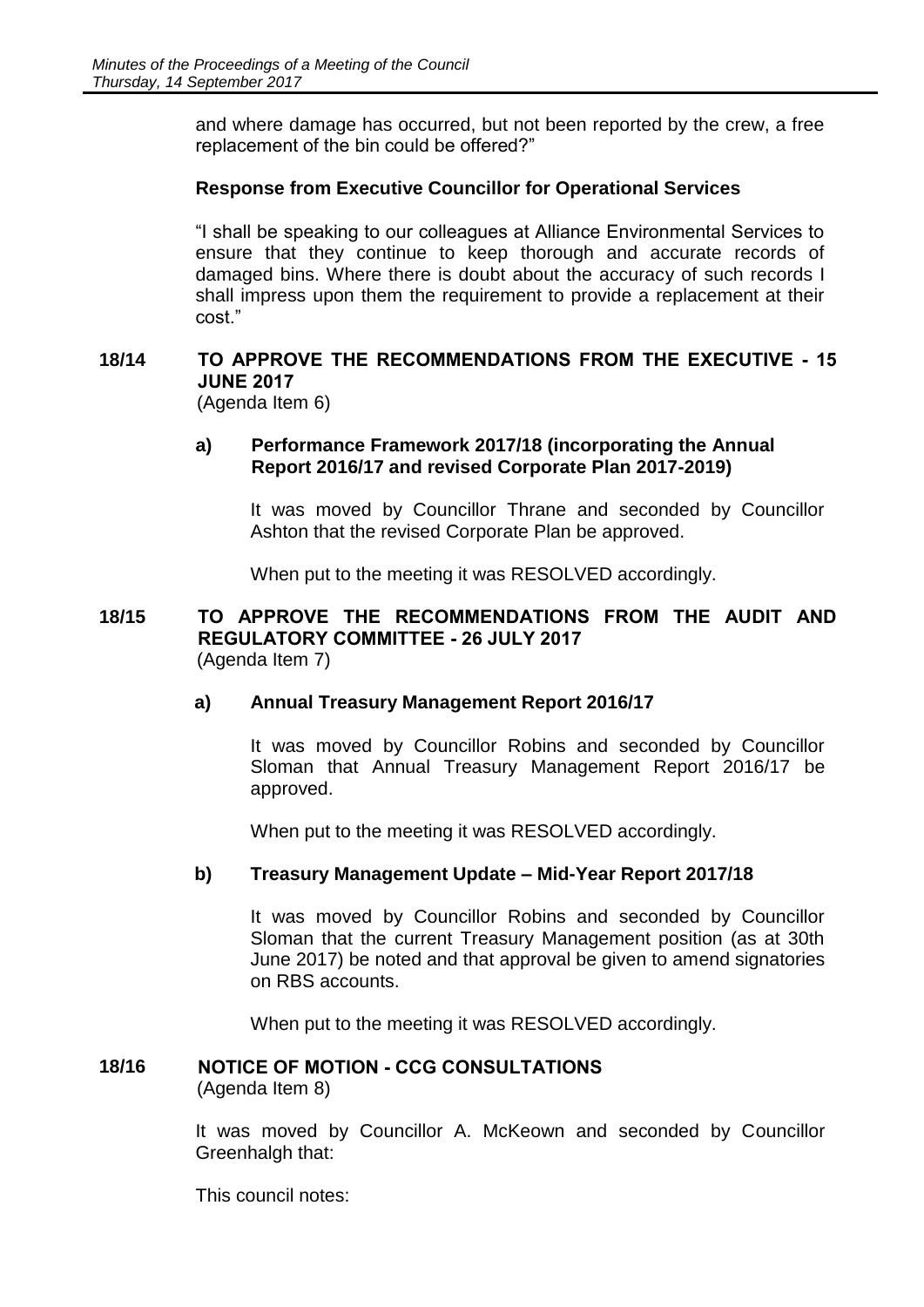and where damage has occurred, but not been reported by the crew, a free replacement of the bin could be offered?"

# **Response from Executive Councillor for Operational Services**

"I shall be speaking to our colleagues at Alliance Environmental Services to ensure that they continue to keep thorough and accurate records of damaged bins. Where there is doubt about the accuracy of such records I shall impress upon them the requirement to provide a replacement at their cost."

# **18/14 TO APPROVE THE RECOMMENDATIONS FROM THE EXECUTIVE - 15 JUNE 2017**

(Agenda Item 6)

# **a) Performance Framework 2017/18 (incorporating the Annual Report 2016/17 and revised Corporate Plan 2017-2019)**

It was moved by Councillor Thrane and seconded by Councillor Ashton that the revised Corporate Plan be approved.

When put to the meeting it was RESOLVED accordingly.

#### **18/15 TO APPROVE THE RECOMMENDATIONS FROM THE AUDIT AND REGULATORY COMMITTEE - 26 JULY 2017** (Agenda Item 7)

# **a) Annual Treasury Management Report 2016/17**

It was moved by Councillor Robins and seconded by Councillor Sloman that Annual Treasury Management Report 2016/17 be approved.

When put to the meeting it was RESOLVED accordingly.

# **b) Treasury Management Update – Mid-Year Report 2017/18**

It was moved by Councillor Robins and seconded by Councillor Sloman that the current Treasury Management position (as at 30th June 2017) be noted and that approval be given to amend signatories on RBS accounts.

When put to the meeting it was RESOLVED accordingly.

# **18/16 NOTICE OF MOTION - CCG CONSULTATIONS**

(Agenda Item 8)

It was moved by Councillor A. McKeown and seconded by Councillor Greenhalgh that:

This council notes: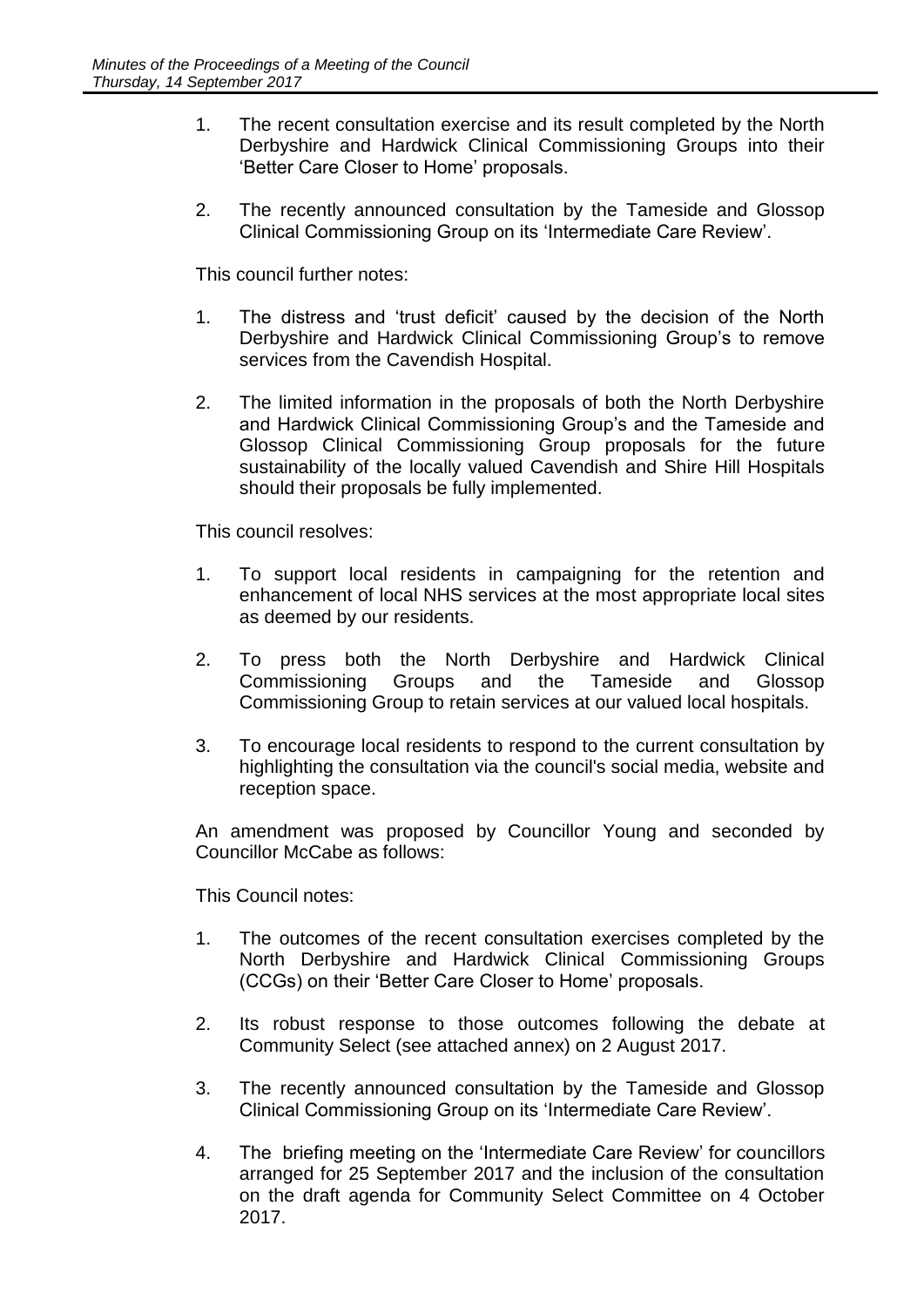- 1. The recent consultation exercise and its result completed by the North Derbyshire and Hardwick Clinical Commissioning Groups into their 'Better Care Closer to Home' proposals.
- 2. The recently announced consultation by the Tameside and Glossop Clinical Commissioning Group on its 'Intermediate Care Review'.

This council further notes:

- 1. The distress and 'trust deficit' caused by the decision of the North Derbyshire and Hardwick Clinical Commissioning Group's to remove services from the Cavendish Hospital.
- 2. The limited information in the proposals of both the North Derbyshire and Hardwick Clinical Commissioning Group's and the Tameside and Glossop Clinical Commissioning Group proposals for the future sustainability of the locally valued Cavendish and Shire Hill Hospitals should their proposals be fully implemented.

This council resolves:

- 1. To support local residents in campaigning for the retention and enhancement of local NHS services at the most appropriate local sites as deemed by our residents.
- 2. To press both the North Derbyshire and Hardwick Clinical Commissioning Groups and the Tameside and Glossop Commissioning Group to retain services at our valued local hospitals.
- 3. To encourage local residents to respond to the current consultation by highlighting the consultation via the council's social media, website and reception space.

An amendment was proposed by Councillor Young and seconded by Councillor McCabe as follows:

This Council notes:

- 1. The outcomes of the recent consultation exercises completed by the North Derbyshire and Hardwick Clinical Commissioning Groups (CCGs) on their 'Better Care Closer to Home' proposals.
- 2. Its robust response to those outcomes following the debate at Community Select (see attached annex) on 2 August 2017.
- 3. The recently announced consultation by the Tameside and Glossop Clinical Commissioning Group on its 'Intermediate Care Review'.
- 4. The briefing meeting on the 'Intermediate Care Review' for councillors arranged for 25 September 2017 and the inclusion of the consultation on the draft agenda for Community Select Committee on 4 October 2017.